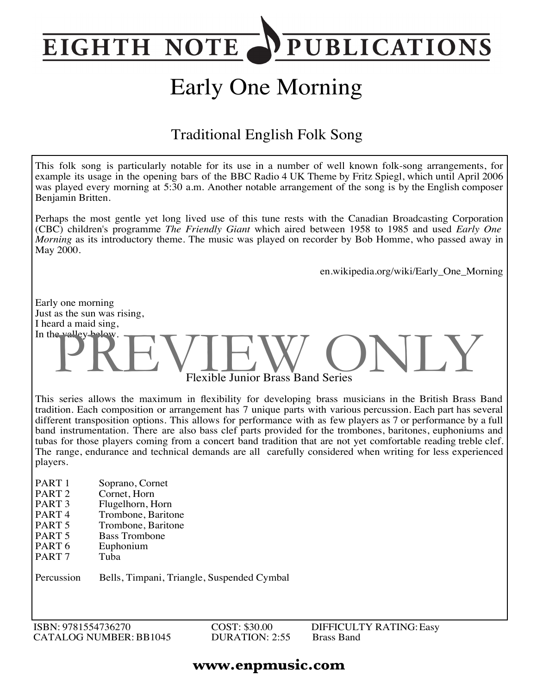## **PUBLICATION EIGHTH**

## Early One Morning

## Traditional English Folk Song

This folk song is particularly notable for its use in a number of well known folk-song arrangements, for example its usage in the opening bars of the BBC Radio 4 UK Theme by Fritz Spiegl, which until April 2006 was played every morning at 5:30 a.m. Another notable arrangement of the song is by the English composer Benjamin Britten.

Perhaps the most gentle yet long lived use of this tune rests with the Canadian Broadcasting Corporation (CBC) children's programme *The Friendly Giant* which aired between 1958 to 1985 and used *Early One Morning* as its introductory theme. The music was played on recorder by Bob Homme, who passed away in May 2000.

en.wikipedia.org/wiki/Early\_One\_Morning

Early one morning Just as the sun was rising, I heard a maid sing, In the valley below. PREVIEW ONLY

Flexible Junior Brass Band Series

This series allows the maximum in flexibility for developing brass musicians in the British Brass Band tradition. Each composition or arrangement has 7 unique parts with various percussion. Each part has several different transposition options. This allows for performance with as few players as 7 or performance by a full band instrumentation. There are also bass clef parts provided for the trombones, baritones, euphoniums and tubas for those players coming from a concert band tradition that are not yet comfortable reading treble clef. The range, endurance and technical demands are all carefully considered when writing for less experienced players.

- PART 1 Soprano, Cornet<br>PART 2 Cornet, Horn
- PART 2 Cornet, Horn<br>PART 3 Flugelhorn, H
- PART 3 Flugelhorn, Horn<br>PART 4 Trombone, Barito
- PART 4 Trombone, Baritone<br>PART 5 Trombone, Baritone
- PART 5 Trombone, Baritone<br>PART 5 Bass Trombone
- PART 5 Bass Trombone<br>PART 6 Euphonium
- Euphonium<br>Tuba
- PART<sub>7</sub>

Percussion Bells, Timpani, Triangle, Suspended Cymbal

ISBN: 9781554736270 CATALOG NUMBER: BB1045 COST: \$30.00 DURATION: 2:55 DIFFICULTY RATING:Easy Brass Band

## **www.enpmusic.com**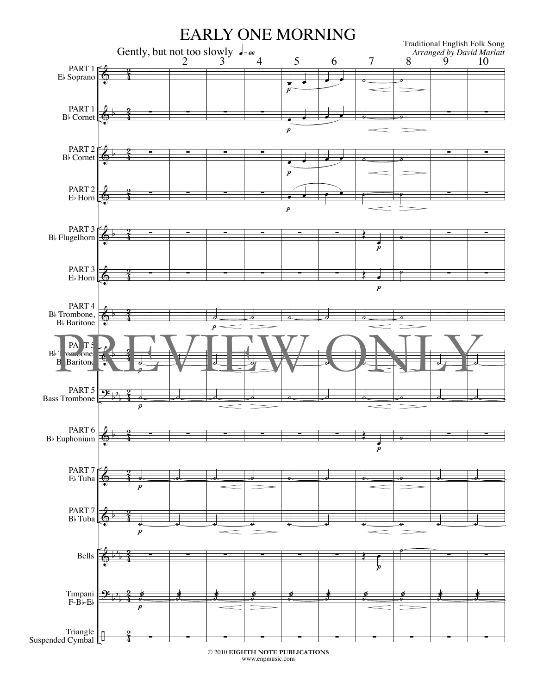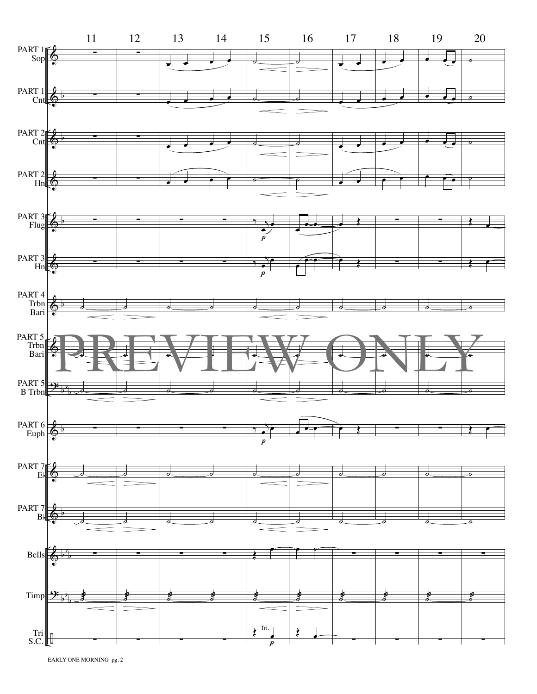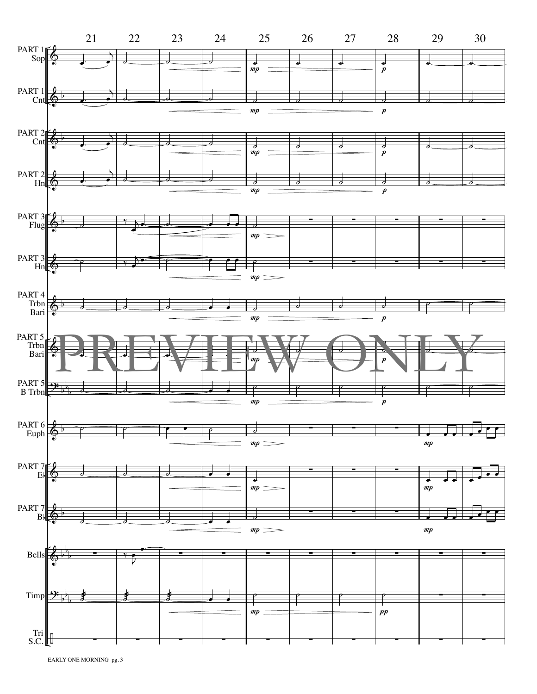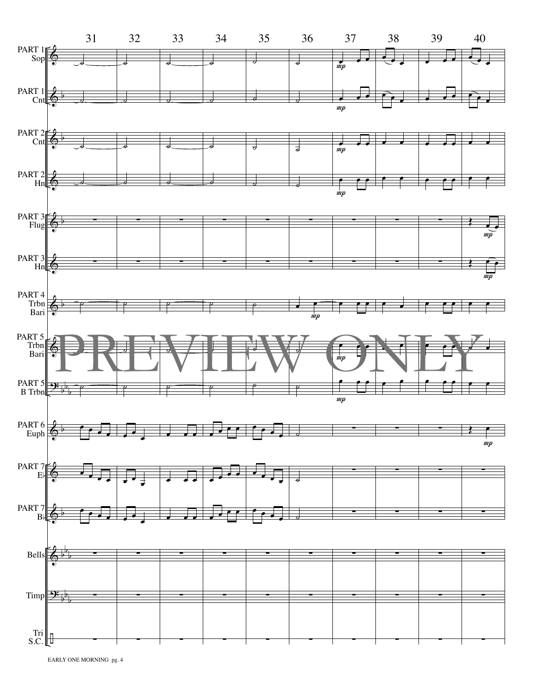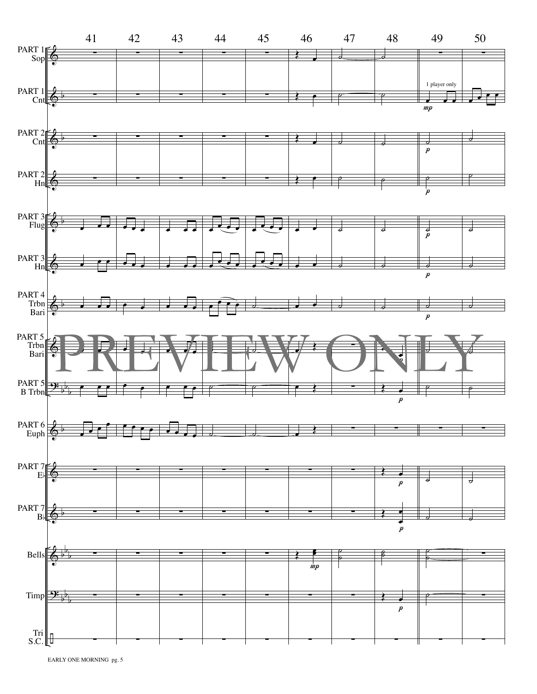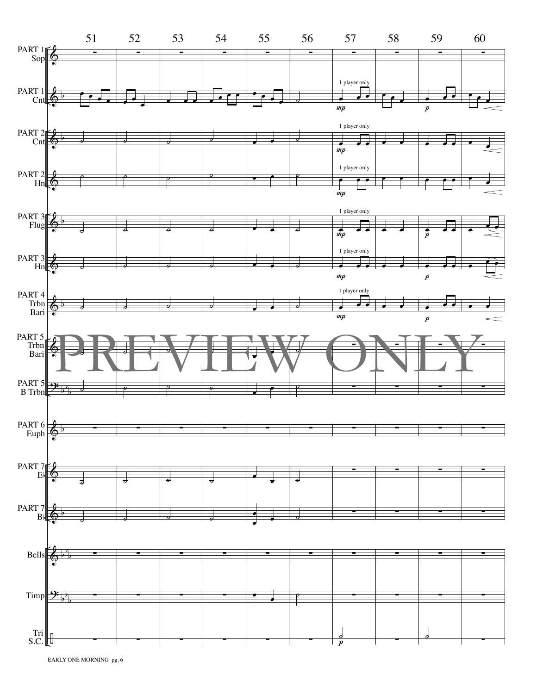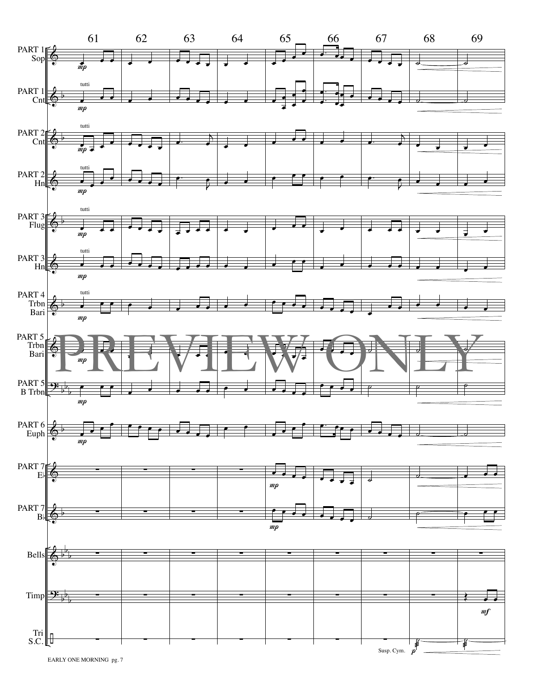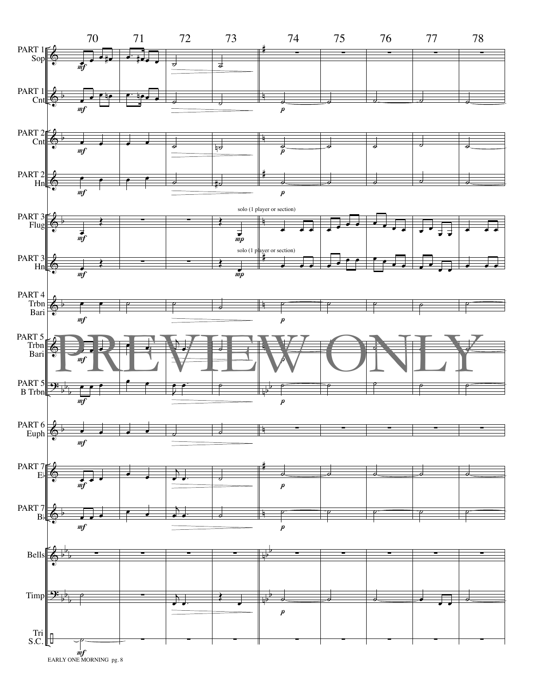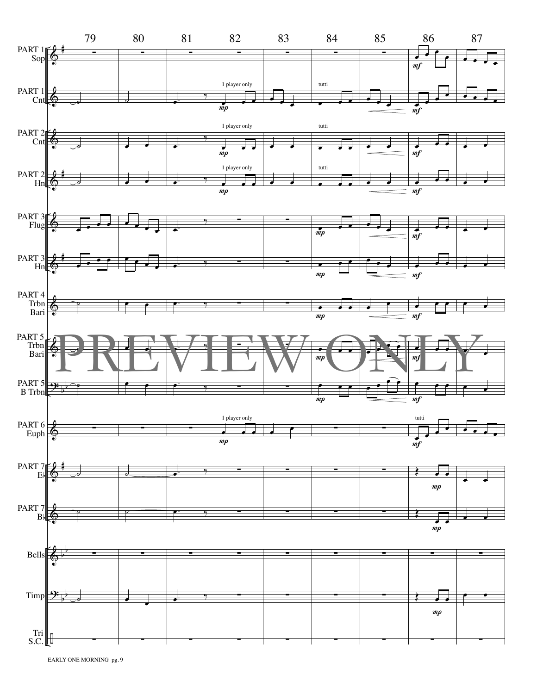